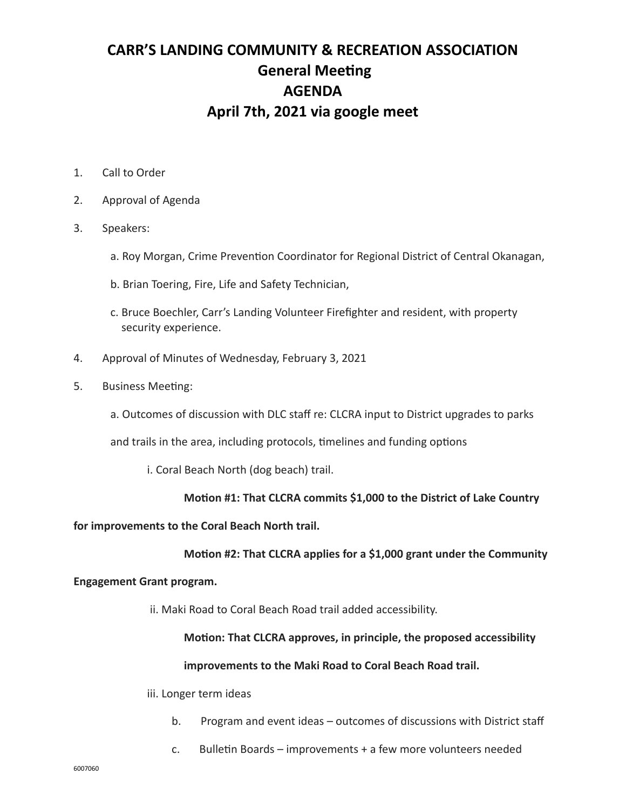# **CARR'S LANDING COMMUNITY & RECREATION ASSOCIATION General Meeting AGENDA April 7th, 2021 via google meet**

- 1. Call to Order
- 2. Approval of Agenda
- 3. Speakers:
	- a. Roy Morgan, Crime Prevention Coordinator for Regional District of Central Okanagan,
	- b. Brian Toering, Fire, Life and Safety Technician,
	- c. Bruce Boechler, Carr's Landing Volunteer Firefighter and resident, with property security experience.
- 4. Approval of Minutes of Wednesday, February 3, 2021
- 5. Business Meeting:
	- a. Outcomes of discussion with DLC staff re: CLCRA input to District upgrades to parks

and trails in the area, including protocols, timelines and funding options

i. Coral Beach North (dog beach) trail.

### **Motion #1: That CLCRA commits \$1,000 to the District of Lake Country**

**for improvements to the Coral Beach North trail.** 

# **Motion #2: That CLCRA applies for a \$1,000 grant under the Community**

### **Engagement Grant program.**

ii. Maki Road to Coral Beach Road trail added accessibility.

# **Motion: That CLCRA approves, in principle, the proposed accessibility**

### **improvements to the Maki Road to Coral Beach Road trail.**

iii. Longer term ideas

- b. Program and event ideas outcomes of discussions with District staff
- c. Bulletin Boards improvements + a few more volunteers needed